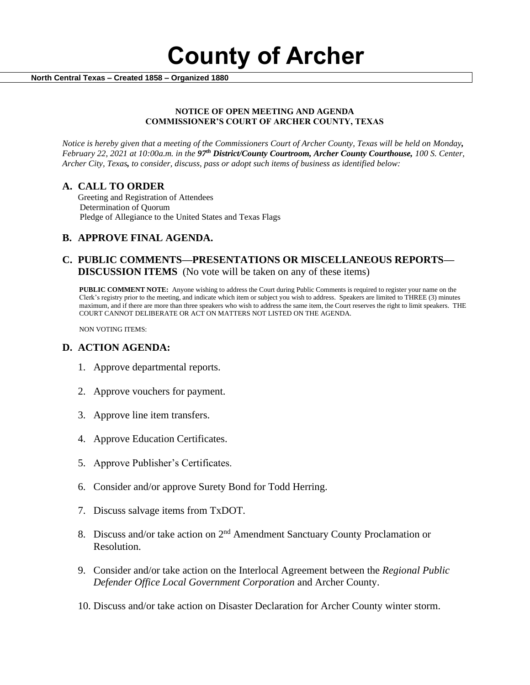**County of Archer** 

 **North Central Texas – Created 1858 – Organized 1880**

### **NOTICE OF OPEN MEETING AND AGENDA COMMISSIONER'S COURT OF ARCHER COUNTY, TEXAS**

*Notice is hereby given that a meeting of the Commissioners Court of Archer County, Texas will be held on Monday, February 22, 2021 at 10:00a.m. in the 97th District/County Courtroom, Archer County Courthouse, 100 S. Center, Archer City, Texas, to consider, discuss, pass or adopt such items of business as identified below:*

## **A. CALL TO ORDER**

 Greeting and Registration of Attendees Determination of Quorum Pledge of Allegiance to the United States and Texas Flags

## **B. APPROVE FINAL AGENDA.**

## **C. PUBLIC COMMENTS—PRESENTATIONS OR MISCELLANEOUS REPORTS— DISCUSSION ITEMS** (No vote will be taken on any of these items)

**PUBLIC COMMENT NOTE:** Anyone wishing to address the Court during Public Comments is required to register your name on the Clerk's registry prior to the meeting, and indicate which item or subject you wish to address. Speakers are limited to THREE (3) minutes maximum, and if there are more than three speakers who wish to address the same item, the Court reserves the right to limit speakers. THE COURT CANNOT DELIBERATE OR ACT ON MATTERS NOT LISTED ON THE AGENDA.

NON VOTING ITEMS:

## **D. ACTION AGENDA:**

- 1. Approve departmental reports.
- 2. Approve vouchers for payment.
- 3. Approve line item transfers.
- 4. Approve Education Certificates.
- 5. Approve Publisher's Certificates.
- 6. Consider and/or approve Surety Bond for Todd Herring.
- 7. Discuss salvage items from TxDOT.
- 8. Discuss and/or take action on  $2<sup>nd</sup>$  Amendment Sanctuary County Proclamation or Resolution.
- 9. Consider and/or take action on the Interlocal Agreement between the *Regional Public Defender Office Local Government Corporation* and Archer County.
- 10. Discuss and/or take action on Disaster Declaration for Archer County winter storm.